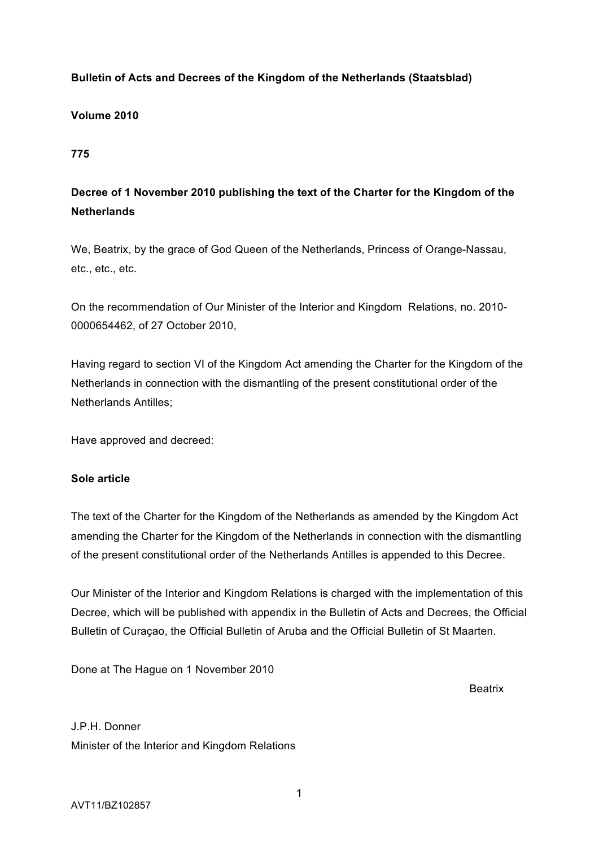# **Bulletin of Acts and Decrees of the Kingdom of the Netherlands (Staatsblad)**

### **Volume 2010**

**775**

# **Decree of 1 November 2010 publishing the text of the Charter for the Kingdom of the Netherlands**

We, Beatrix, by the grace of God Queen of the Netherlands, Princess of Orange-Nassau, etc., etc., etc.

On the recommendation of Our Minister of the Interior and Kingdom Relations, no. 2010- 0000654462, of 27 October 2010,

Having regard to section VI of the Kingdom Act amending the Charter for the Kingdom of the Netherlands in connection with the dismantling of the present constitutional order of the Netherlands Antilles;

Have approved and decreed:

### **Sole article**

The text of the Charter for the Kingdom of the Netherlands as amended by the Kingdom Act amending the Charter for the Kingdom of the Netherlands in connection with the dismantling of the present constitutional order of the Netherlands Antilles is appended to this Decree.

Our Minister of the Interior and Kingdom Relations is charged with the implementation of this Decree, which will be published with appendix in the Bulletin of Acts and Decrees, the Official Bulletin of Curaçao, the Official Bulletin of Aruba and the Official Bulletin of St Maarten.

Done at The Hague on 1 November 2010

**Beatrix** 

# J.P.H. Donner Minister of the Interior and Kingdom Relations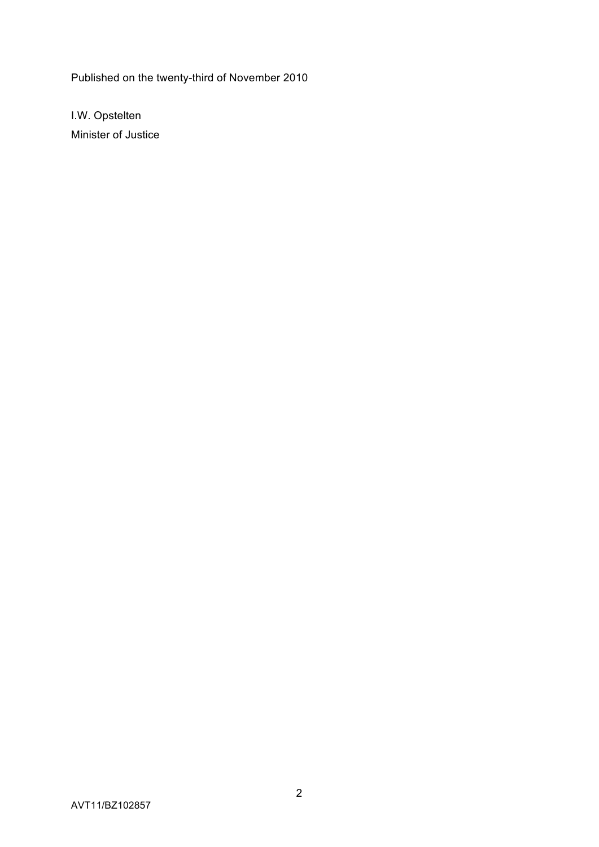Published on the twenty-third of November 2010

I.W. Opstelten Minister of Justice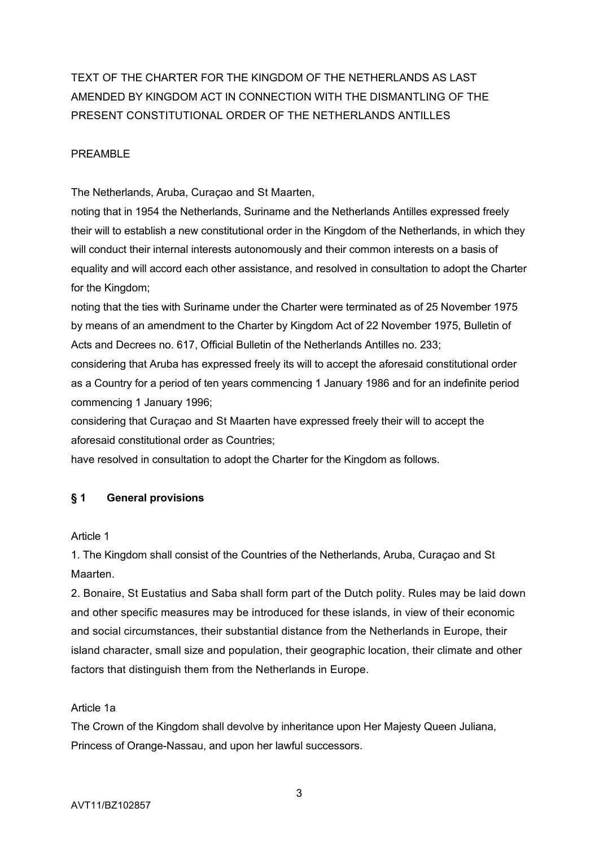TEXT OF THE CHARTER FOR THE KINGDOM OF THE NETHERLANDS AS LAST AMENDED BY KINGDOM ACT IN CONNECTION WITH THE DISMANTLING OF THE PRESENT CONSTITUTIONAL ORDER OF THE NETHERLANDS ANTILLES

### PREAMBLE

The Netherlands, Aruba, Curaçao and St Maarten,

noting that in 1954 the Netherlands, Suriname and the Netherlands Antilles expressed freely their will to establish a new constitutional order in the Kingdom of the Netherlands, in which they will conduct their internal interests autonomously and their common interests on a basis of equality and will accord each other assistance, and resolved in consultation to adopt the Charter for the Kingdom;

noting that the ties with Suriname under the Charter were terminated as of 25 November 1975 by means of an amendment to the Charter by Kingdom Act of 22 November 1975, Bulletin of Acts and Decrees no. 617, Official Bulletin of the Netherlands Antilles no. 233;

considering that Aruba has expressed freely its will to accept the aforesaid constitutional order as a Country for a period of ten years commencing 1 January 1986 and for an indefinite period commencing 1 January 1996;

considering that Curaçao and St Maarten have expressed freely their will to accept the aforesaid constitutional order as Countries;

have resolved in consultation to adopt the Charter for the Kingdom as follows.

# **§ 1 General provisions**

Article 1

1. The Kingdom shall consist of the Countries of the Netherlands, Aruba, Curaçao and St Maarten.

2. Bonaire, St Eustatius and Saba shall form part of the Dutch polity. Rules may be laid down and other specific measures may be introduced for these islands, in view of their economic and social circumstances, their substantial distance from the Netherlands in Europe, their island character, small size and population, their geographic location, their climate and other factors that distinguish them from the Netherlands in Europe.

### Article 1a

The Crown of the Kingdom shall devolve by inheritance upon Her Majesty Queen Juliana, Princess of Orange-Nassau, and upon her lawful successors.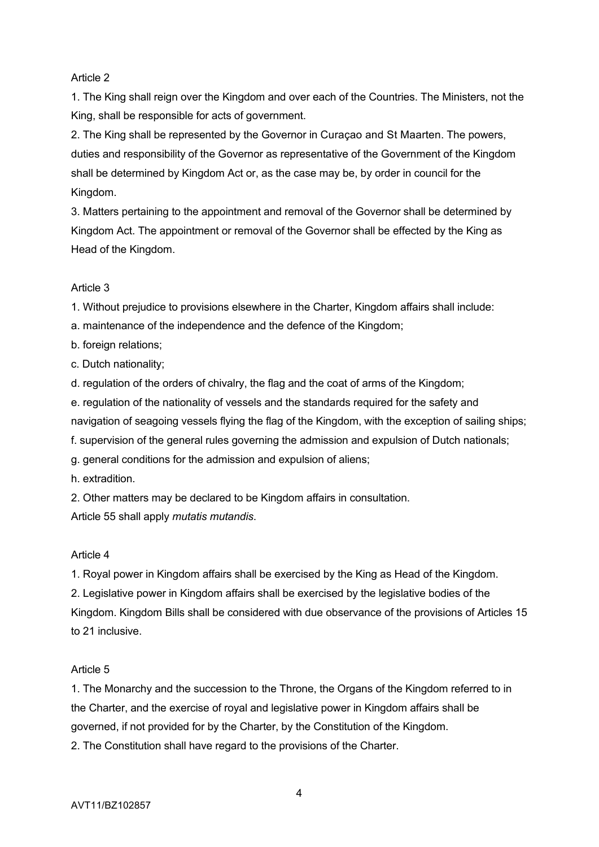# Article 2

1. The King shall reign over the Kingdom and over each of the Countries. The Ministers, not the King, shall be responsible for acts of government.

2. The King shall be represented by the Governor in Curaçao and St Maarten. The powers, duties and responsibility of the Governor as representative of the Government of the Kingdom shall be determined by Kingdom Act or, as the case may be, by order in council for the Kingdom.

3. Matters pertaining to the appointment and removal of the Governor shall be determined by Kingdom Act. The appointment or removal of the Governor shall be effected by the King as Head of the Kingdom.

# Article 3

1. Without prejudice to provisions elsewhere in the Charter, Kingdom affairs shall include:

a. maintenance of the independence and the defence of the Kingdom;

b. foreign relations;

c. Dutch nationality;

d. regulation of the orders of chivalry, the flag and the coat of arms of the Kingdom;

e. regulation of the nationality of vessels and the standards required for the safety and

navigation of seagoing vessels flying the flag of the Kingdom, with the exception of sailing ships;

f. supervision of the general rules governing the admission and expulsion of Dutch nationals;

g. general conditions for the admission and expulsion of aliens;

h. extradition.

2. Other matters may be declared to be Kingdom affairs in consultation. Article 55 shall apply *mutatis mutandis*.

# Article 4

1. Royal power in Kingdom affairs shall be exercised by the King as Head of the Kingdom.

2. Legislative power in Kingdom affairs shall be exercised by the legislative bodies of the Kingdom. Kingdom Bills shall be considered with due observance of the provisions of Articles 15 to 21 inclusive.

# Article 5

1. The Monarchy and the succession to the Throne, the Organs of the Kingdom referred to in the Charter, and the exercise of royal and legislative power in Kingdom affairs shall be governed, if not provided for by the Charter, by the Constitution of the Kingdom.

2. The Constitution shall have regard to the provisions of the Charter.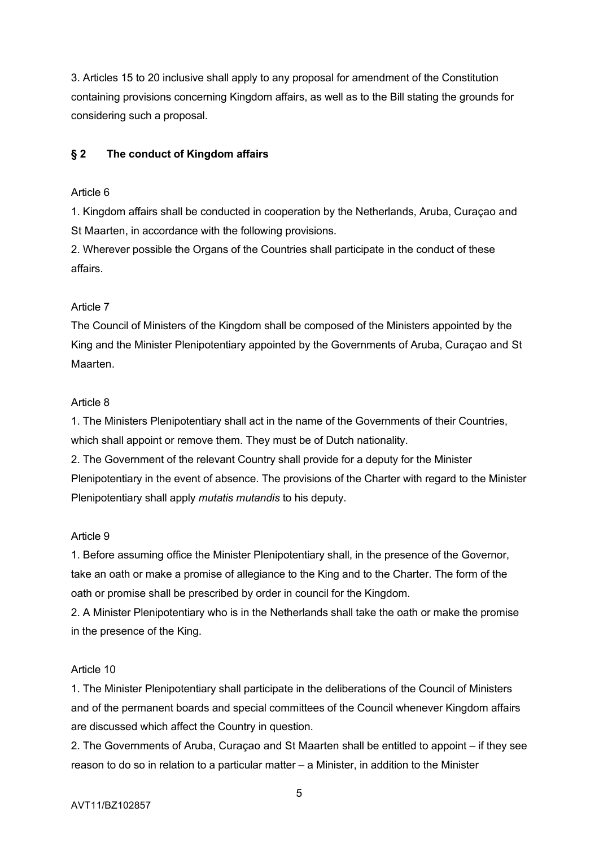3. Articles 15 to 20 inclusive shall apply to any proposal for amendment of the Constitution containing provisions concerning Kingdom affairs, as well as to the Bill stating the grounds for considering such a proposal.

# **§ 2 The conduct of Kingdom affairs**

# Article 6

1. Kingdom affairs shall be conducted in cooperation by the Netherlands, Aruba, Curaçao and St Maarten, in accordance with the following provisions.

2. Wherever possible the Organs of the Countries shall participate in the conduct of these affairs.

# Article 7

The Council of Ministers of the Kingdom shall be composed of the Ministers appointed by the King and the Minister Plenipotentiary appointed by the Governments of Aruba, Curaçao and St Maarten.

# Article 8

1. The Ministers Plenipotentiary shall act in the name of the Governments of their Countries, which shall appoint or remove them. They must be of Dutch nationality.

2. The Government of the relevant Country shall provide for a deputy for the Minister Plenipotentiary in the event of absence. The provisions of the Charter with regard to the Minister Plenipotentiary shall apply *mutatis mutandis* to his deputy.

# Article 9

1. Before assuming office the Minister Plenipotentiary shall, in the presence of the Governor, take an oath or make a promise of allegiance to the King and to the Charter. The form of the oath or promise shall be prescribed by order in council for the Kingdom.

2. A Minister Plenipotentiary who is in the Netherlands shall take the oath or make the promise in the presence of the King.

# Article 10

1. The Minister Plenipotentiary shall participate in the deliberations of the Council of Ministers and of the permanent boards and special committees of the Council whenever Kingdom affairs are discussed which affect the Country in question.

2. The Governments of Aruba, Curaçao and St Maarten shall be entitled to appoint – if they see reason to do so in relation to a particular matter – a Minister, in addition to the Minister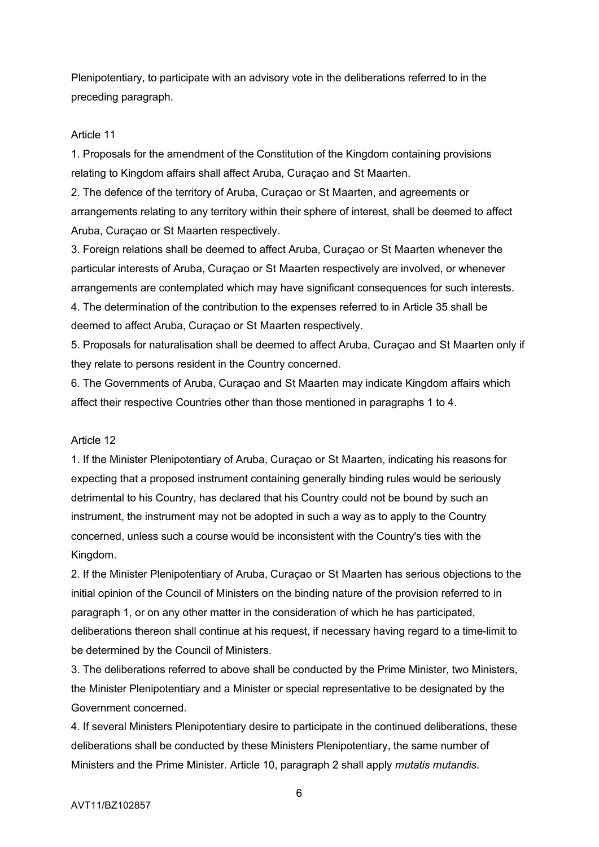Plenipotentiary, to participate with an advisory vote in the deliberations referred to in the preceding paragraph.

### Article 11

1. Proposals for the amendment of the Constitution of the Kingdom containing provisions relating to Kingdom affairs shall affect Aruba, Curaçao and St Maarten.

2. The defence of the territory of Aruba, Curaçao or St Maarten, and agreements or arrangements relating to any territory within their sphere of interest, shall be deemed to affect Aruba, Curaçao or St Maarten respectively.

3. Foreign relations shall be deemed to affect Aruba, Curaçao or St Maarten whenever the particular interests of Aruba, Curaçao or St Maarten respectively are involved, or whenever arrangements are contemplated which may have significant consequences for such interests. 4. The determination of the contribution to the expenses referred to in Article 35 shall be deemed to affect Aruba, Curaçao or St Maarten respectively.

5. Proposals for naturalisation shall be deemed to affect Aruba, Curaçao and St Maarten only if they relate to persons resident in the Country concerned.

6. The Governments of Aruba, Curaçao and St Maarten may indicate Kingdom affairs which affect their respective Countries other than those mentioned in paragraphs 1 to 4.

#### Article 12

1. If the Minister Plenipotentiary of Aruba, Curaçao or St Maarten, indicating his reasons for expecting that a proposed instrument containing generally binding rules would be seriously detrimental to his Country, has declared that his Country could not be bound by such an instrument, the instrument may not be adopted in such a way as to apply to the Country concerned, unless such a course would be inconsistent with the Country's ties with the Kingdom.

2. If the Minister Plenipotentiary of Aruba, Curaçao or St Maarten has serious objections to the initial opinion of the Council of Ministers on the binding nature of the provision referred to in paragraph 1, or on any other matter in the consideration of which he has participated, deliberations thereon shall continue at his request, if necessary having regard to a time-limit to be determined by the Council of Ministers.

3. The deliberations referred to above shall be conducted by the Prime Minister, two Ministers, the Minister Plenipotentiary and a Minister or special representative to be designated by the Government concerned.

4. If several Ministers Plenipotentiary desire to participate in the continued deliberations, these deliberations shall be conducted by these Ministers Plenipotentiary, the same number of Ministers and the Prime Minister. Article 10, paragraph 2 shall apply *mutatis mutandis*.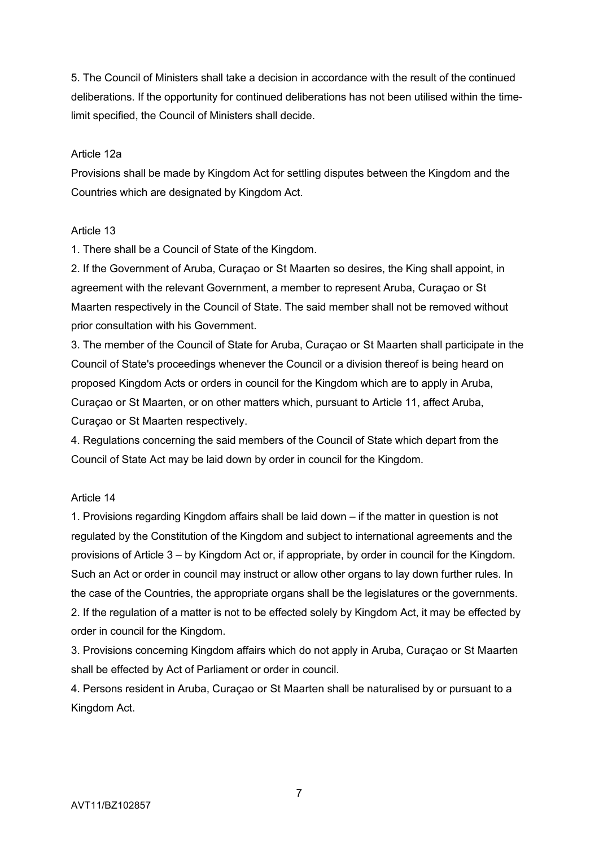5. The Council of Ministers shall take a decision in accordance with the result of the continued deliberations. If the opportunity for continued deliberations has not been utilised within the timelimit specified, the Council of Ministers shall decide.

### Article 12a

Provisions shall be made by Kingdom Act for settling disputes between the Kingdom and the Countries which are designated by Kingdom Act.

### Article 13

1. There shall be a Council of State of the Kingdom.

2. If the Government of Aruba, Curaçao or St Maarten so desires, the King shall appoint, in agreement with the relevant Government, a member to represent Aruba, Curaçao or St Maarten respectively in the Council of State. The said member shall not be removed without prior consultation with his Government.

3. The member of the Council of State for Aruba, Curaçao or St Maarten shall participate in the Council of State's proceedings whenever the Council or a division thereof is being heard on proposed Kingdom Acts or orders in council for the Kingdom which are to apply in Aruba, Curaçao or St Maarten, or on other matters which, pursuant to Article 11, affect Aruba, Curaçao or St Maarten respectively.

4. Regulations concerning the said members of the Council of State which depart from the Council of State Act may be laid down by order in council for the Kingdom.

### Article 14

1. Provisions regarding Kingdom affairs shall be laid down – if the matter in question is not regulated by the Constitution of the Kingdom and subject to international agreements and the provisions of Article 3 – by Kingdom Act or, if appropriate, by order in council for the Kingdom. Such an Act or order in council may instruct or allow other organs to lay down further rules. In the case of the Countries, the appropriate organs shall be the legislatures or the governments. 2. If the regulation of a matter is not to be effected solely by Kingdom Act, it may be effected by order in council for the Kingdom.

3. Provisions concerning Kingdom affairs which do not apply in Aruba, Curaçao or St Maarten shall be effected by Act of Parliament or order in council.

4. Persons resident in Aruba, Curaçao or St Maarten shall be naturalised by or pursuant to a Kingdom Act.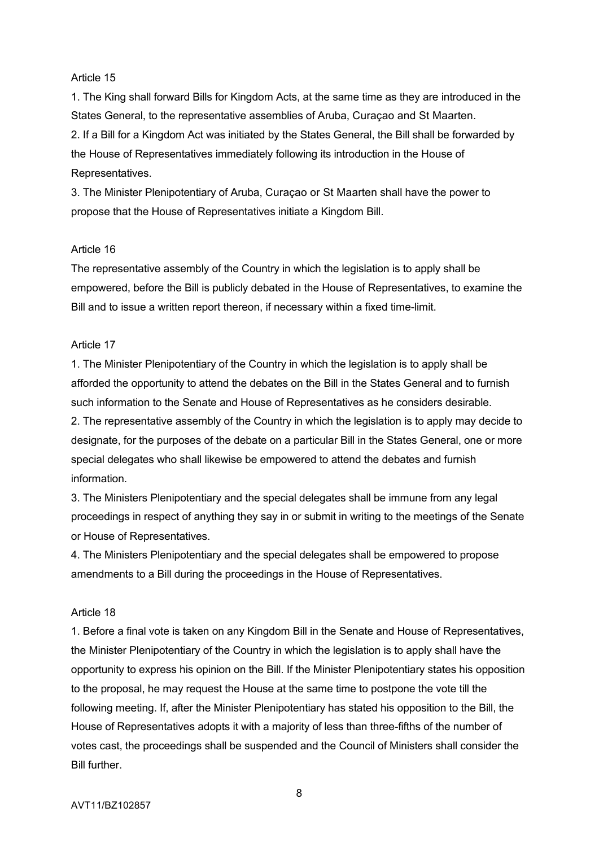#### Article 15

1. The King shall forward Bills for Kingdom Acts, at the same time as they are introduced in the States General, to the representative assemblies of Aruba, Curaçao and St Maarten. 2. If a Bill for a Kingdom Act was initiated by the States General, the Bill shall be forwarded by the House of Representatives immediately following its introduction in the House of Representatives.

3. The Minister Plenipotentiary of Aruba, Curaçao or St Maarten shall have the power to propose that the House of Representatives initiate a Kingdom Bill.

#### Article 16

The representative assembly of the Country in which the legislation is to apply shall be empowered, before the Bill is publicly debated in the House of Representatives, to examine the Bill and to issue a written report thereon, if necessary within a fixed time-limit.

### Article 17

1. The Minister Plenipotentiary of the Country in which the legislation is to apply shall be afforded the opportunity to attend the debates on the Bill in the States General and to furnish such information to the Senate and House of Representatives as he considers desirable.

2. The representative assembly of the Country in which the legislation is to apply may decide to designate, for the purposes of the debate on a particular Bill in the States General, one or more special delegates who shall likewise be empowered to attend the debates and furnish information.

3. The Ministers Plenipotentiary and the special delegates shall be immune from any legal proceedings in respect of anything they say in or submit in writing to the meetings of the Senate or House of Representatives.

4. The Ministers Plenipotentiary and the special delegates shall be empowered to propose amendments to a Bill during the proceedings in the House of Representatives.

#### Article 18

1. Before a final vote is taken on any Kingdom Bill in the Senate and House of Representatives, the Minister Plenipotentiary of the Country in which the legislation is to apply shall have the opportunity to express his opinion on the Bill. If the Minister Plenipotentiary states his opposition to the proposal, he may request the House at the same time to postpone the vote till the following meeting. If, after the Minister Plenipotentiary has stated his opposition to the Bill, the House of Representatives adopts it with a majority of less than three-fifths of the number of votes cast, the proceedings shall be suspended and the Council of Ministers shall consider the Bill further.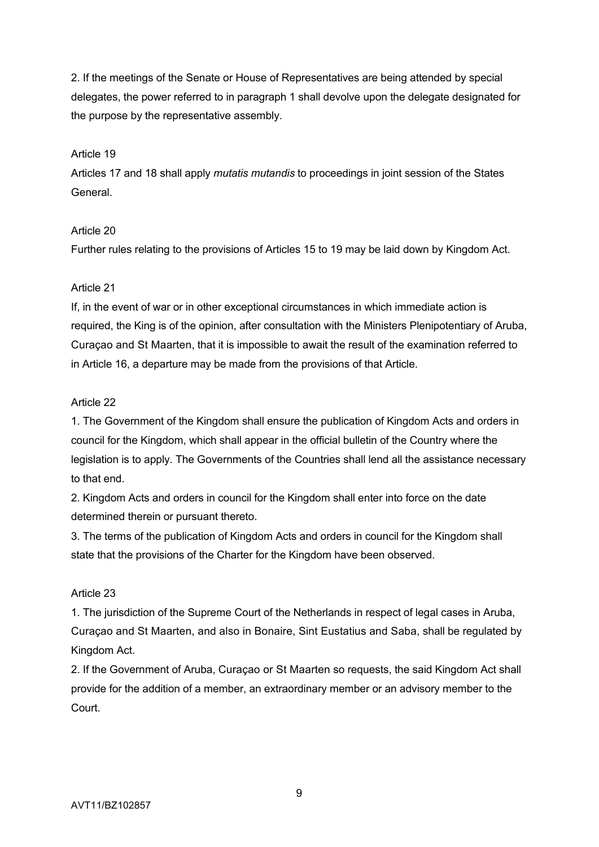2. If the meetings of the Senate or House of Representatives are being attended by special delegates, the power referred to in paragraph 1 shall devolve upon the delegate designated for the purpose by the representative assembly.

# Article 19

Articles 17 and 18 shall apply *mutatis mutandis* to proceedings in joint session of the States General.

# Article 20

Further rules relating to the provisions of Articles 15 to 19 may be laid down by Kingdom Act.

# Article 21

If, in the event of war or in other exceptional circumstances in which immediate action is required, the King is of the opinion, after consultation with the Ministers Plenipotentiary of Aruba, Curaçao and St Maarten, that it is impossible to await the result of the examination referred to in Article 16, a departure may be made from the provisions of that Article.

# Article 22

1. The Government of the Kingdom shall ensure the publication of Kingdom Acts and orders in council for the Kingdom, which shall appear in the official bulletin of the Country where the legislation is to apply. The Governments of the Countries shall lend all the assistance necessary to that end.

2. Kingdom Acts and orders in council for the Kingdom shall enter into force on the date determined therein or pursuant thereto.

3. The terms of the publication of Kingdom Acts and orders in council for the Kingdom shall state that the provisions of the Charter for the Kingdom have been observed.

# Article 23

1. The jurisdiction of the Supreme Court of the Netherlands in respect of legal cases in Aruba, Curaçao and St Maarten, and also in Bonaire, Sint Eustatius and Saba, shall be regulated by Kingdom Act.

2. If the Government of Aruba, Curaçao or St Maarten so requests, the said Kingdom Act shall provide for the addition of a member, an extraordinary member or an advisory member to the Court.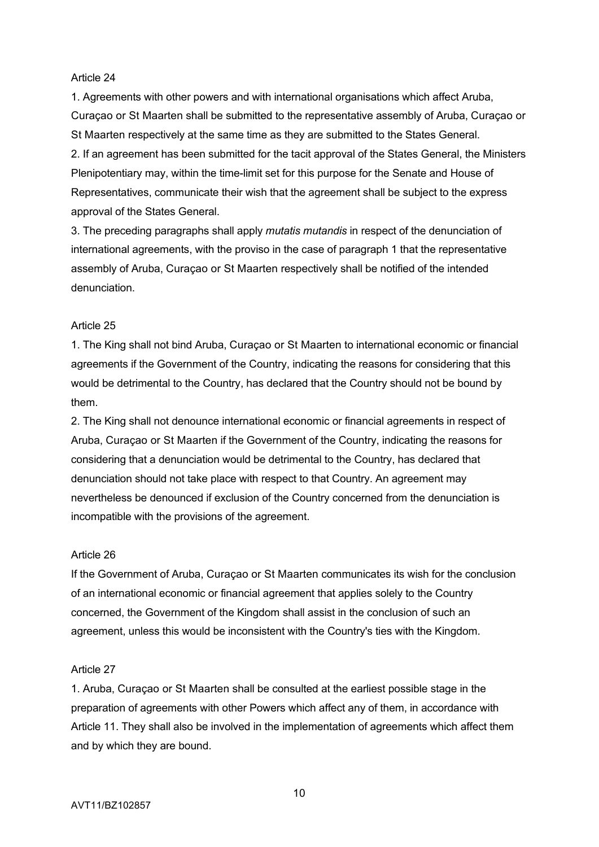#### Article 24

1. Agreements with other powers and with international organisations which affect Aruba, Curaçao or St Maarten shall be submitted to the representative assembly of Aruba, Curaçao or St Maarten respectively at the same time as they are submitted to the States General. 2. If an agreement has been submitted for the tacit approval of the States General, the Ministers Plenipotentiary may, within the time-limit set for this purpose for the Senate and House of Representatives, communicate their wish that the agreement shall be subject to the express approval of the States General.

3. The preceding paragraphs shall apply *mutatis mutandis* in respect of the denunciation of international agreements, with the proviso in the case of paragraph 1 that the representative assembly of Aruba, Curaçao or St Maarten respectively shall be notified of the intended denunciation.

### Article 25

1. The King shall not bind Aruba, Curaçao or St Maarten to international economic or financial agreements if the Government of the Country, indicating the reasons for considering that this would be detrimental to the Country, has declared that the Country should not be bound by them.

2. The King shall not denounce international economic or financial agreements in respect of Aruba, Curaçao or St Maarten if the Government of the Country, indicating the reasons for considering that a denunciation would be detrimental to the Country, has declared that denunciation should not take place with respect to that Country. An agreement may nevertheless be denounced if exclusion of the Country concerned from the denunciation is incompatible with the provisions of the agreement.

#### Article 26

If the Government of Aruba, Curaçao or St Maarten communicates its wish for the conclusion of an international economic or financial agreement that applies solely to the Country concerned, the Government of the Kingdom shall assist in the conclusion of such an agreement, unless this would be inconsistent with the Country's ties with the Kingdom.

#### Article 27

1. Aruba, Curaçao or St Maarten shall be consulted at the earliest possible stage in the preparation of agreements with other Powers which affect any of them, in accordance with Article 11. They shall also be involved in the implementation of agreements which affect them and by which they are bound.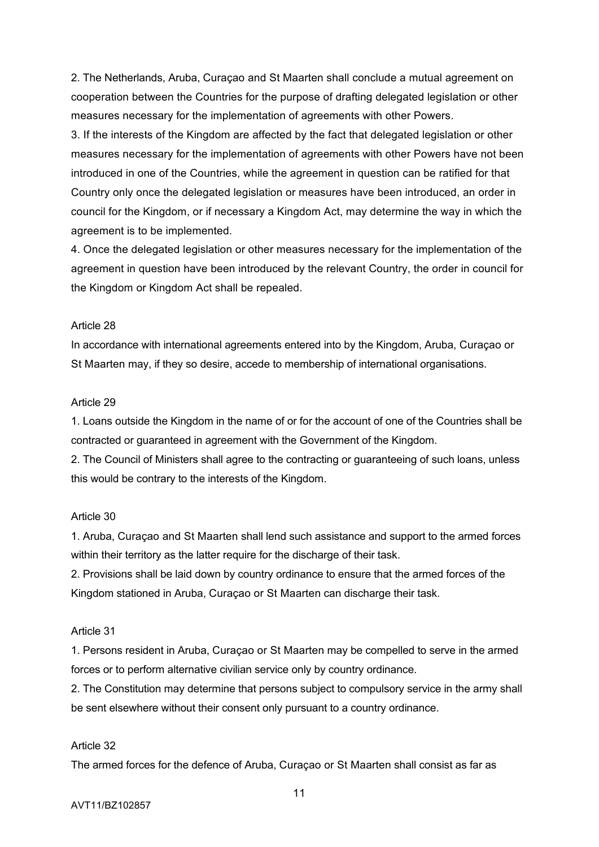2. The Netherlands, Aruba, Curaçao and St Maarten shall conclude a mutual agreement on cooperation between the Countries for the purpose of drafting delegated legislation or other measures necessary for the implementation of agreements with other Powers.

3. If the interests of the Kingdom are affected by the fact that delegated legislation or other measures necessary for the implementation of agreements with other Powers have not been introduced in one of the Countries, while the agreement in question can be ratified for that Country only once the delegated legislation or measures have been introduced, an order in council for the Kingdom, or if necessary a Kingdom Act, may determine the way in which the agreement is to be implemented.

4. Once the delegated legislation or other measures necessary for the implementation of the agreement in question have been introduced by the relevant Country, the order in council for the Kingdom or Kingdom Act shall be repealed.

### Article 28

In accordance with international agreements entered into by the Kingdom, Aruba, Curaçao or St Maarten may, if they so desire, accede to membership of international organisations.

### Article 29

1. Loans outside the Kingdom in the name of or for the account of one of the Countries shall be contracted or guaranteed in agreement with the Government of the Kingdom.

2. The Council of Ministers shall agree to the contracting or guaranteeing of such loans, unless this would be contrary to the interests of the Kingdom.

### Article 30

1. Aruba, Curaçao and St Maarten shall lend such assistance and support to the armed forces within their territory as the latter require for the discharge of their task.

2. Provisions shall be laid down by country ordinance to ensure that the armed forces of the Kingdom stationed in Aruba, Curaçao or St Maarten can discharge their task.

#### Article 31

1. Persons resident in Aruba, Curaçao or St Maarten may be compelled to serve in the armed forces or to perform alternative civilian service only by country ordinance.

2. The Constitution may determine that persons subject to compulsory service in the army shall be sent elsewhere without their consent only pursuant to a country ordinance.

#### Article 32

The armed forces for the defence of Aruba, Curaçao or St Maarten shall consist as far as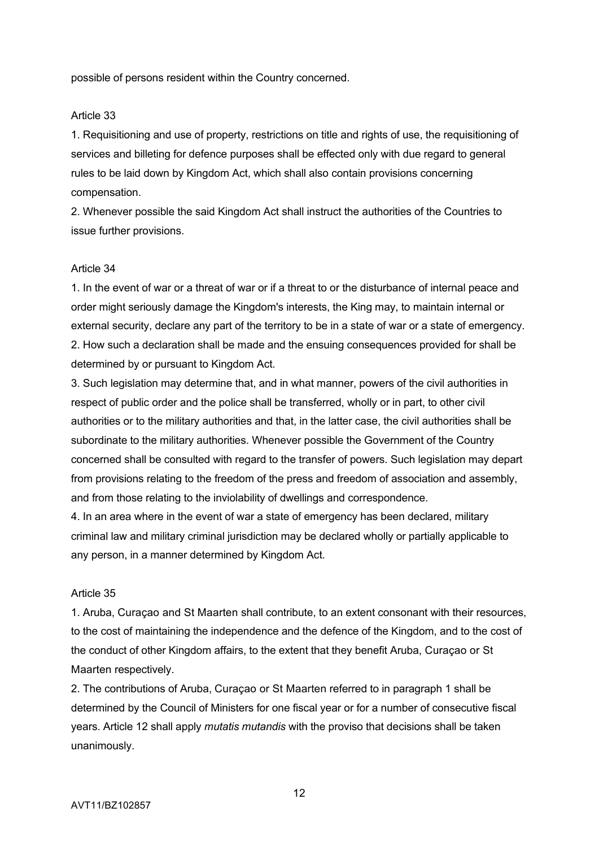possible of persons resident within the Country concerned.

### Article 33

1. Requisitioning and use of property, restrictions on title and rights of use, the requisitioning of services and billeting for defence purposes shall be effected only with due regard to general rules to be laid down by Kingdom Act, which shall also contain provisions concerning compensation.

2. Whenever possible the said Kingdom Act shall instruct the authorities of the Countries to issue further provisions.

#### Article 34

1. In the event of war or a threat of war or if a threat to or the disturbance of internal peace and order might seriously damage the Kingdom's interests, the King may, to maintain internal or external security, declare any part of the territory to be in a state of war or a state of emergency. 2. How such a declaration shall be made and the ensuing consequences provided for shall be determined by or pursuant to Kingdom Act.

3. Such legislation may determine that, and in what manner, powers of the civil authorities in respect of public order and the police shall be transferred, wholly or in part, to other civil authorities or to the military authorities and that, in the latter case, the civil authorities shall be subordinate to the military authorities. Whenever possible the Government of the Country concerned shall be consulted with regard to the transfer of powers. Such legislation may depart from provisions relating to the freedom of the press and freedom of association and assembly, and from those relating to the inviolability of dwellings and correspondence.

4. In an area where in the event of war a state of emergency has been declared, military criminal law and military criminal jurisdiction may be declared wholly or partially applicable to any person, in a manner determined by Kingdom Act.

#### Article 35

1. Aruba, Curaçao and St Maarten shall contribute, to an extent consonant with their resources, to the cost of maintaining the independence and the defence of the Kingdom, and to the cost of the conduct of other Kingdom affairs, to the extent that they benefit Aruba, Curaçao or St Maarten respectively.

2. The contributions of Aruba, Curaçao or St Maarten referred to in paragraph 1 shall be determined by the Council of Ministers for one fiscal year or for a number of consecutive fiscal years. Article 12 shall apply *mutatis mutandis* with the proviso that decisions shall be taken unanimously.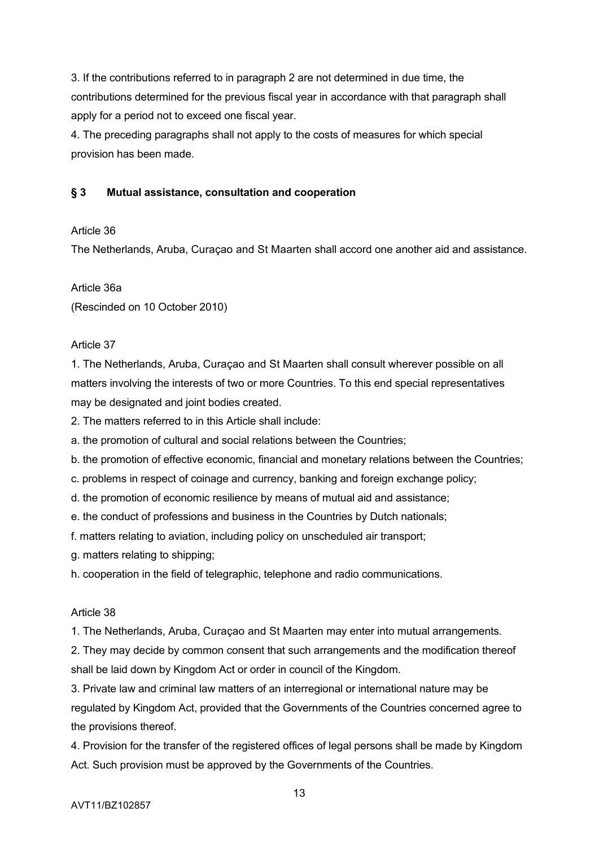3. If the contributions referred to in paragraph 2 are not determined in due time, the contributions determined for the previous fiscal year in accordance with that paragraph shall apply for a period not to exceed one fiscal year.

4. The preceding paragraphs shall not apply to the costs of measures for which special provision has been made.

# **§ 3 Mutual assistance, consultation and cooperation**

### Article 36

The Netherlands, Aruba, Curaçao and St Maarten shall accord one another aid and assistance.

# Article 36a

(Rescinded on 10 October 2010)

# Article 37

1. The Netherlands, Aruba, Curaçao and St Maarten shall consult wherever possible on all matters involving the interests of two or more Countries. To this end special representatives may be designated and joint bodies created.

2. The matters referred to in this Article shall include:

- a. the promotion of cultural and social relations between the Countries;
- b. the promotion of effective economic, financial and monetary relations between the Countries;
- c. problems in respect of coinage and currency, banking and foreign exchange policy;
- d. the promotion of economic resilience by means of mutual aid and assistance;
- e. the conduct of professions and business in the Countries by Dutch nationals;
- f. matters relating to aviation, including policy on unscheduled air transport;
- g. matters relating to shipping;
- h. cooperation in the field of telegraphic, telephone and radio communications.

### Article 38

1. The Netherlands, Aruba, Curaçao and St Maarten may enter into mutual arrangements.

2. They may decide by common consent that such arrangements and the modification thereof shall be laid down by Kingdom Act or order in council of the Kingdom.

3. Private law and criminal law matters of an interregional or international nature may be regulated by Kingdom Act, provided that the Governments of the Countries concerned agree to the provisions thereof.

4. Provision for the transfer of the registered offices of legal persons shall be made by Kingdom Act. Such provision must be approved by the Governments of the Countries.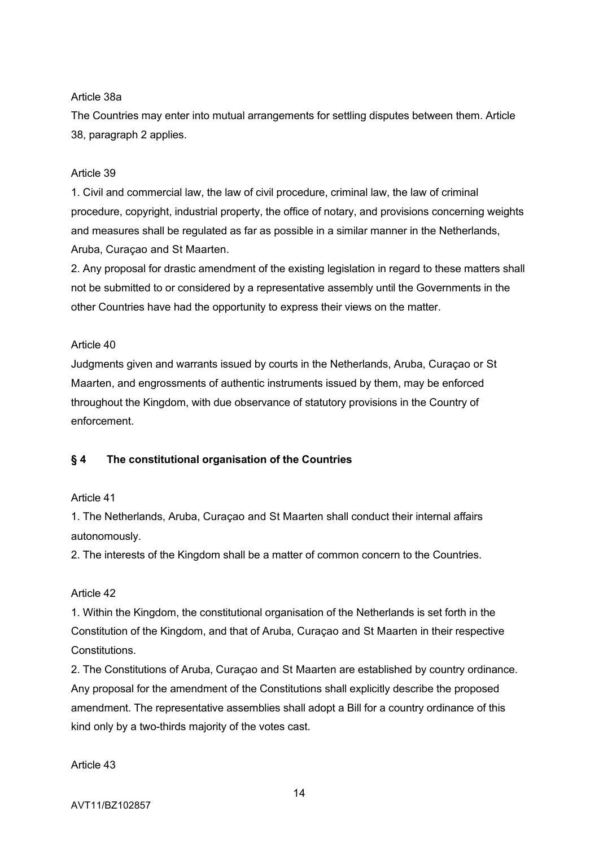# Article 38a

The Countries may enter into mutual arrangements for settling disputes between them. Article 38, paragraph 2 applies.

# Article 39

1. Civil and commercial law, the law of civil procedure, criminal law, the law of criminal procedure, copyright, industrial property, the office of notary, and provisions concerning weights and measures shall be regulated as far as possible in a similar manner in the Netherlands, Aruba, Curaçao and St Maarten.

2. Any proposal for drastic amendment of the existing legislation in regard to these matters shall not be submitted to or considered by a representative assembly until the Governments in the other Countries have had the opportunity to express their views on the matter.

# Article 40

Judgments given and warrants issued by courts in the Netherlands, Aruba, Curaçao or St Maarten, and engrossments of authentic instruments issued by them, may be enforced throughout the Kingdom, with due observance of statutory provisions in the Country of enforcement.

# **§ 4 The constitutional organisation of the Countries**

### Article 41

1. The Netherlands, Aruba, Curaçao and St Maarten shall conduct their internal affairs autonomously.

2. The interests of the Kingdom shall be a matter of common concern to the Countries.

# Article 42

1. Within the Kingdom, the constitutional organisation of the Netherlands is set forth in the Constitution of the Kingdom, and that of Aruba, Curaçao and St Maarten in their respective Constitutions.

2. The Constitutions of Aruba, Curaçao and St Maarten are established by country ordinance. Any proposal for the amendment of the Constitutions shall explicitly describe the proposed amendment. The representative assemblies shall adopt a Bill for a country ordinance of this kind only by a two-thirds majority of the votes cast.

Article 43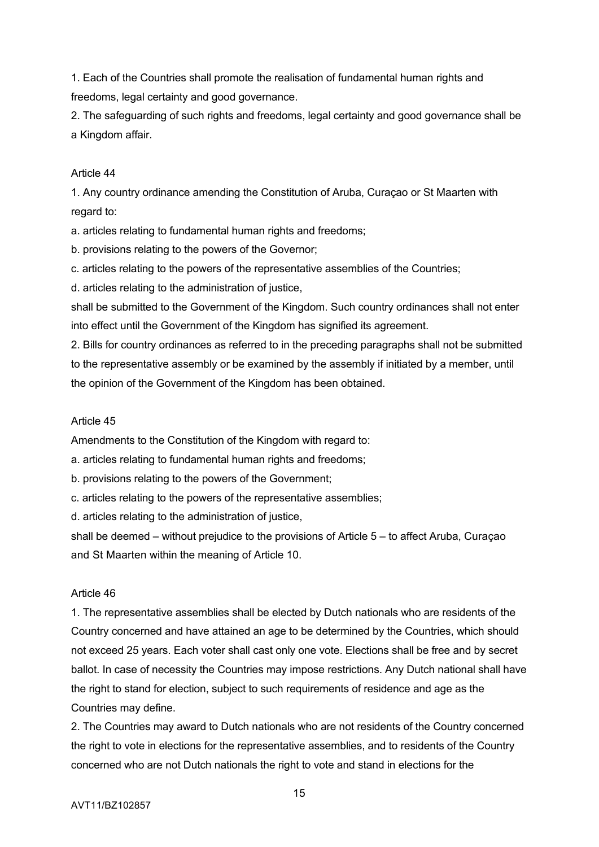1. Each of the Countries shall promote the realisation of fundamental human rights and freedoms, legal certainty and good governance.

2. The safeguarding of such rights and freedoms, legal certainty and good governance shall be a Kingdom affair.

# Article 44

1. Any country ordinance amending the Constitution of Aruba, Curaçao or St Maarten with regard to:

a. articles relating to fundamental human rights and freedoms;

b. provisions relating to the powers of the Governor;

c. articles relating to the powers of the representative assemblies of the Countries;

d. articles relating to the administration of justice,

shall be submitted to the Government of the Kingdom. Such country ordinances shall not enter into effect until the Government of the Kingdom has signified its agreement.

2. Bills for country ordinances as referred to in the preceding paragraphs shall not be submitted to the representative assembly or be examined by the assembly if initiated by a member, until the opinion of the Government of the Kingdom has been obtained.

# Article 45

Amendments to the Constitution of the Kingdom with regard to:

a. articles relating to fundamental human rights and freedoms;

b. provisions relating to the powers of the Government;

c. articles relating to the powers of the representative assemblies;

d. articles relating to the administration of justice,

shall be deemed – without prejudice to the provisions of Article 5 – to affect Aruba, Curaçao and St Maarten within the meaning of Article 10.

# Article 46

1. The representative assemblies shall be elected by Dutch nationals who are residents of the Country concerned and have attained an age to be determined by the Countries, which should not exceed 25 years. Each voter shall cast only one vote. Elections shall be free and by secret ballot. In case of necessity the Countries may impose restrictions. Any Dutch national shall have the right to stand for election, subject to such requirements of residence and age as the Countries may define.

2. The Countries may award to Dutch nationals who are not residents of the Country concerned the right to vote in elections for the representative assemblies, and to residents of the Country concerned who are not Dutch nationals the right to vote and stand in elections for the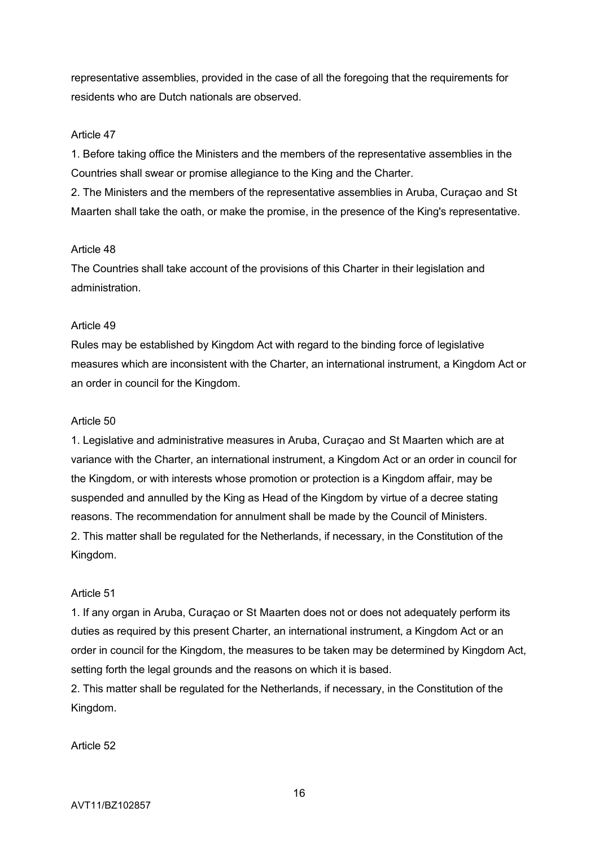representative assemblies, provided in the case of all the foregoing that the requirements for residents who are Dutch nationals are observed.

### Article 47

1. Before taking office the Ministers and the members of the representative assemblies in the Countries shall swear or promise allegiance to the King and the Charter.

2. The Ministers and the members of the representative assemblies in Aruba, Curaçao and St Maarten shall take the oath, or make the promise, in the presence of the King's representative.

#### Article 48

The Countries shall take account of the provisions of this Charter in their legislation and administration.

#### Article 49

Rules may be established by Kingdom Act with regard to the binding force of legislative measures which are inconsistent with the Charter, an international instrument, a Kingdom Act or an order in council for the Kingdom.

#### Article 50

1. Legislative and administrative measures in Aruba, Curaçao and St Maarten which are at variance with the Charter, an international instrument, a Kingdom Act or an order in council for the Kingdom, or with interests whose promotion or protection is a Kingdom affair, may be suspended and annulled by the King as Head of the Kingdom by virtue of a decree stating reasons. The recommendation for annulment shall be made by the Council of Ministers. 2. This matter shall be regulated for the Netherlands, if necessary, in the Constitution of the Kingdom.

#### Article 51

1. If any organ in Aruba, Curaçao or St Maarten does not or does not adequately perform its duties as required by this present Charter, an international instrument, a Kingdom Act or an order in council for the Kingdom, the measures to be taken may be determined by Kingdom Act, setting forth the legal grounds and the reasons on which it is based.

2. This matter shall be regulated for the Netherlands, if necessary, in the Constitution of the Kingdom.

Article 52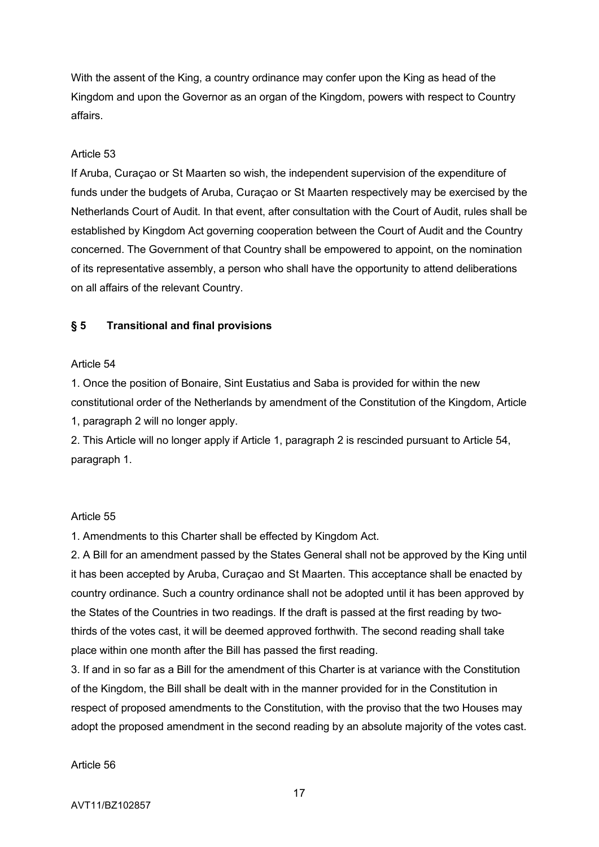With the assent of the King, a country ordinance may confer upon the King as head of the Kingdom and upon the Governor as an organ of the Kingdom, powers with respect to Country affairs.

### Article 53

If Aruba, Curaçao or St Maarten so wish, the independent supervision of the expenditure of funds under the budgets of Aruba, Curaçao or St Maarten respectively may be exercised by the Netherlands Court of Audit. In that event, after consultation with the Court of Audit, rules shall be established by Kingdom Act governing cooperation between the Court of Audit and the Country concerned. The Government of that Country shall be empowered to appoint, on the nomination of its representative assembly, a person who shall have the opportunity to attend deliberations on all affairs of the relevant Country.

# **§ 5 Transitional and final provisions**

### Article 54

1. Once the position of Bonaire, Sint Eustatius and Saba is provided for within the new constitutional order of the Netherlands by amendment of the Constitution of the Kingdom, Article

1, paragraph 2 will no longer apply.

2. This Article will no longer apply if Article 1, paragraph 2 is rescinded pursuant to Article 54, paragraph 1.

### Article 55

1. Amendments to this Charter shall be effected by Kingdom Act.

2. A Bill for an amendment passed by the States General shall not be approved by the King until it has been accepted by Aruba, Curaçao and St Maarten. This acceptance shall be enacted by country ordinance. Such a country ordinance shall not be adopted until it has been approved by the States of the Countries in two readings. If the draft is passed at the first reading by twothirds of the votes cast, it will be deemed approved forthwith. The second reading shall take place within one month after the Bill has passed the first reading.

3. If and in so far as a Bill for the amendment of this Charter is at variance with the Constitution of the Kingdom, the Bill shall be dealt with in the manner provided for in the Constitution in respect of proposed amendments to the Constitution, with the proviso that the two Houses may adopt the proposed amendment in the second reading by an absolute majority of the votes cast.

### Article 56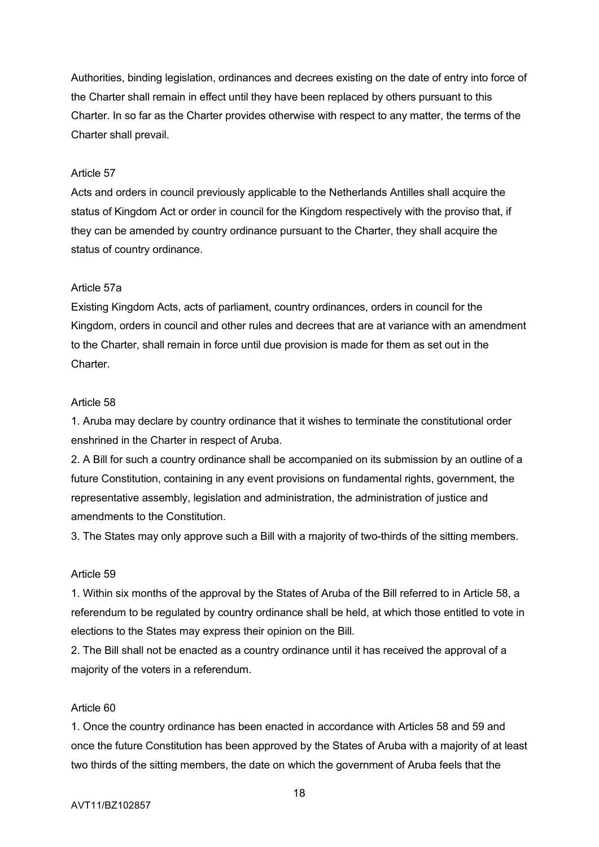Authorities, binding legislation, ordinances and decrees existing on the date of entry into force of the Charter shall remain in effect until they have been replaced by others pursuant to this Charter. In so far as the Charter provides otherwise with respect to any matter, the terms of the Charter shall prevail.

### Article 57

Acts and orders in council previously applicable to the Netherlands Antilles shall acquire the status of Kingdom Act or order in council for the Kingdom respectively with the proviso that, if they can be amended by country ordinance pursuant to the Charter, they shall acquire the status of country ordinance.

### Article 57a

Existing Kingdom Acts, acts of parliament, country ordinances, orders in council for the Kingdom, orders in council and other rules and decrees that are at variance with an amendment to the Charter, shall remain in force until due provision is made for them as set out in the Charter.

# Article 58

1. Aruba may declare by country ordinance that it wishes to terminate the constitutional order enshrined in the Charter in respect of Aruba.

2. A Bill for such a country ordinance shall be accompanied on its submission by an outline of a future Constitution, containing in any event provisions on fundamental rights, government, the representative assembly, legislation and administration, the administration of justice and amendments to the Constitution.

3. The States may only approve such a Bill with a majority of two-thirds of the sitting members.

### Article 59

1. Within six months of the approval by the States of Aruba of the Bill referred to in Article 58, a referendum to be regulated by country ordinance shall be held, at which those entitled to vote in elections to the States may express their opinion on the Bill.

2. The Bill shall not be enacted as a country ordinance until it has received the approval of a majority of the voters in a referendum.

### Article 60

1. Once the country ordinance has been enacted in accordance with Articles 58 and 59 and once the future Constitution has been approved by the States of Aruba with a majority of at least two thirds of the sitting members, the date on which the government of Aruba feels that the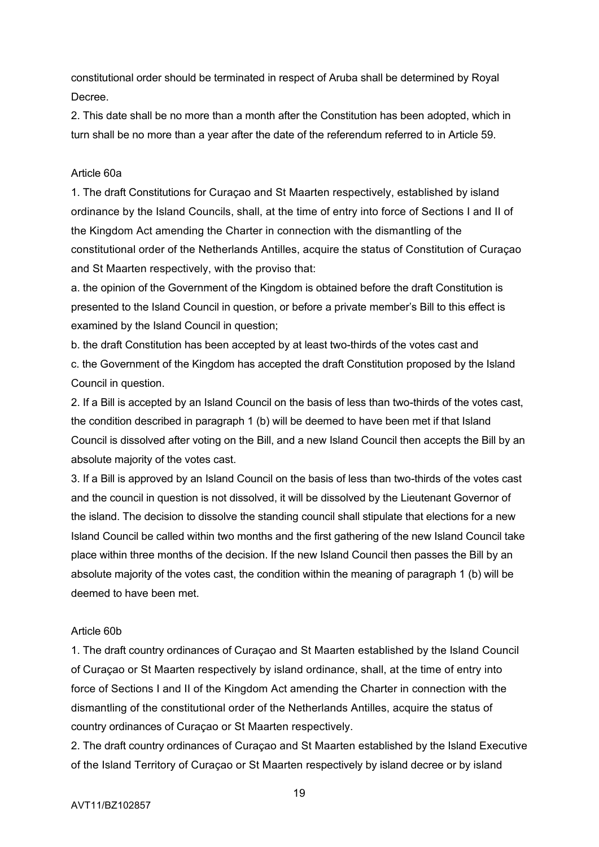constitutional order should be terminated in respect of Aruba shall be determined by Royal Decree.

2. This date shall be no more than a month after the Constitution has been adopted, which in turn shall be no more than a year after the date of the referendum referred to in Article 59.

### Article 60a

1. The draft Constitutions for Curaçao and St Maarten respectively, established by island ordinance by the Island Councils, shall, at the time of entry into force of Sections I and II of the Kingdom Act amending the Charter in connection with the dismantling of the constitutional order of the Netherlands Antilles, acquire the status of Constitution of Curaçao and St Maarten respectively, with the proviso that:

a. the opinion of the Government of the Kingdom is obtained before the draft Constitution is presented to the Island Council in question, or before a private member's Bill to this effect is examined by the Island Council in question;

b. the draft Constitution has been accepted by at least two-thirds of the votes cast and c. the Government of the Kingdom has accepted the draft Constitution proposed by the Island Council in question.

2. If a Bill is accepted by an Island Council on the basis of less than two-thirds of the votes cast, the condition described in paragraph 1 (b) will be deemed to have been met if that Island Council is dissolved after voting on the Bill, and a new Island Council then accepts the Bill by an absolute majority of the votes cast.

3. If a Bill is approved by an Island Council on the basis of less than two-thirds of the votes cast and the council in question is not dissolved, it will be dissolved by the Lieutenant Governor of the island. The decision to dissolve the standing council shall stipulate that elections for a new Island Council be called within two months and the first gathering of the new Island Council take place within three months of the decision. If the new Island Council then passes the Bill by an absolute majority of the votes cast, the condition within the meaning of paragraph 1 (b) will be deemed to have been met.

### Article 60b

1. The draft country ordinances of Curaçao and St Maarten established by the Island Council of Curaçao or St Maarten respectively by island ordinance, shall, at the time of entry into force of Sections I and II of the Kingdom Act amending the Charter in connection with the dismantling of the constitutional order of the Netherlands Antilles, acquire the status of country ordinances of Curaçao or St Maarten respectively.

2. The draft country ordinances of Curaçao and St Maarten established by the Island Executive of the Island Territory of Curaçao or St Maarten respectively by island decree or by island